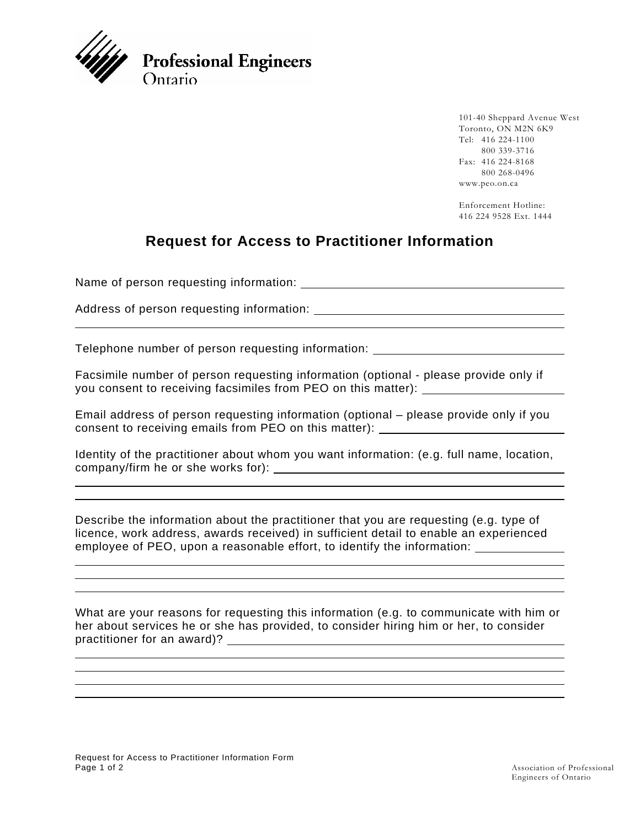

101-40 Sheppard Avenue West Toronto, ON M2N 6K9 Tel: 416 224-1100 800 339-3716 Fax: 416 224-8168 800 268-0496 www.peo.on.ca

Enforcement Hotline: 416 224 9528 Ext. 1444

## **Request for Access to Practitioner Information**

Name of person requesting information:

 $\overline{a}$ 

 $\overline{a}$ 

 $\overline{a}$ 

 $\overline{a}$ 

Address of person requesting information:

Telephone number of person requesting information:

Facsimile number of person requesting information (optional - please provide only if you consent to receiving facsimiles from PEO on this matter):

Email address of person requesting information (optional – please provide only if you consent to receiving emails from PEO on this matter):

Identity of the practitioner about whom you want information: (e.g. full name, location, company/firm he or she works for):

Describe the information about the practitioner that you are requesting (e.g. type of licence, work address, awards received) in sufficient detail to enable an experienced employee of PEO, upon a reasonable effort, to identify the information:

What are your reasons for requesting this information (e.g. to communicate with him or her about services he or she has provided, to consider hiring him or her, to consider practitioner for an award)?